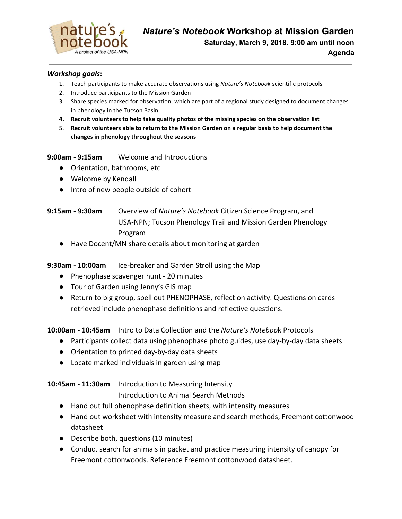

#### *Workshop goals***:**

- 1. Teach participants to make accurate observations using *Nature's Notebook* scientific protocols
- 2. Introduce participants to the Mission Garden
- 3. Share species marked for observation, which are part of a regional study designed to document changes in phenology in the Tucson Basin.
- **4. Recruit volunteers to help take quality photos of the missing species on the observation list**
- 5. **Recruit volunteers able to return to the Mission Garden on a regular basis to help document the changes in phenology throughout the seasons**

**9:00am - 9:15am** Welcome and Introductions

- Orientation, bathrooms, etc
- Welcome by Kendall
- Intro of new people outside of cohort
- **9:15am 9:30am** Overview of *Nature's Notebook* Citizen Science Program, and USA-NPN; Tucson Phenology Trail and Mission Garden Phenology Program
	- Have Docent/MN share details about monitoring at garden

**9:30am - 10:00am** Ice-breaker and Garden Stroll using the Map

- Phenophase scavenger hunt 20 minutes
- Tour of Garden using Jenny's GIS map
- Return to big group, spell out PHENOPHASE, reflect on activity. Questions on cards retrieved include phenophase definitions and reflective questions.

**10:00am - 10:45am** Intro to Data Collection and the *Nature's Noteboo*k Protocols

- Participants collect data using phenophase photo guides, use day-by-day data sheets
- Orientation to printed day-by-day data sheets
- Locate marked individuals in garden using map

## **10:45am - 11:30am** Introduction to Measuring Intensity

Introduction to Animal Search Methods

- Hand out full phenophase definition sheets, with intensity measures
- Hand out worksheet with intensity measure and search methods, Freemont cottonwood datasheet
- Describe both, questions (10 minutes)
- Conduct search for animals in packet and practice measuring intensity of canopy for Freemont cottonwoods. Reference Freemont cottonwood datasheet.